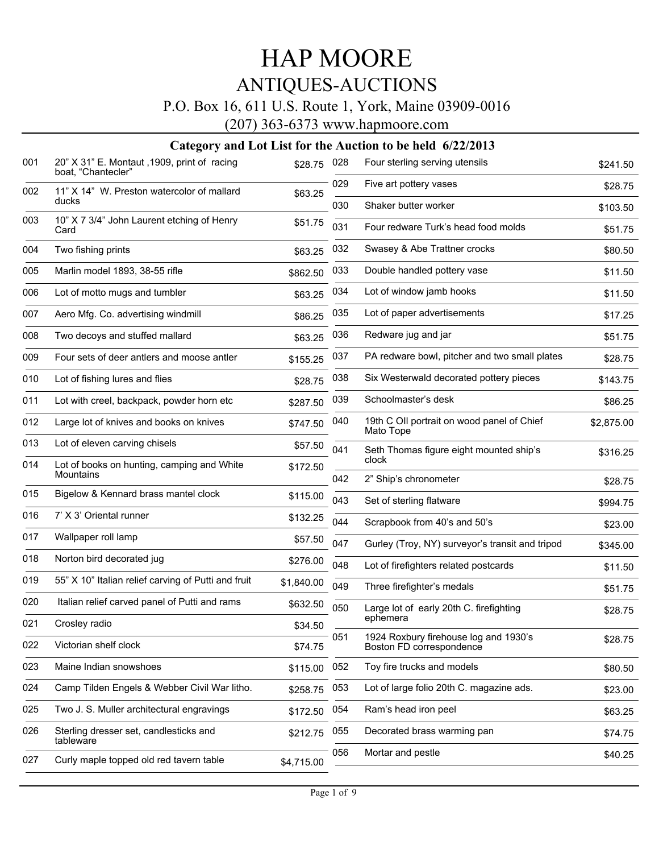### P.O. Box 16, 611 U.S. Route 1, York, Maine 03909-0016

(207) 363-6373 www.hapmoore.com

| 001 | 20" X 31" E. Montaut , 1909, print of racing<br>boat, "Chantecler" | \$28.75    | 028 | Four sterling serving utensils                                    | \$241.50   |
|-----|--------------------------------------------------------------------|------------|-----|-------------------------------------------------------------------|------------|
| 002 | 11" X 14" W. Preston watercolor of mallard                         | \$63.25    | 029 | Five art pottery vases                                            | \$28.75    |
|     | ducks                                                              |            | 030 | Shaker butter worker                                              | \$103.50   |
| 003 | 10" X 7 3/4" John Laurent etching of Henry<br>Card                 | \$51.75    | 031 | Four redware Turk's head food molds                               | \$51.75    |
| 004 | Two fishing prints                                                 | \$63.25    | 032 | Swasey & Abe Trattner crocks                                      | \$80.50    |
| 005 | Marlin model 1893, 38-55 rifle                                     | \$862.50   | 033 | Double handled pottery vase                                       | \$11.50    |
| 006 | Lot of motto mugs and tumbler                                      | \$63.25    | 034 | Lot of window jamb hooks                                          | \$11.50    |
| 007 | Aero Mfg. Co. advertising windmill                                 | \$86.25    | 035 | Lot of paper advertisements                                       | \$17.25    |
| 008 | Two decoys and stuffed mallard                                     | \$63.25    | 036 | Redware jug and jar                                               | \$51.75    |
| 009 | Four sets of deer antlers and moose antler                         | \$155.25   | 037 | PA redware bowl, pitcher and two small plates                     | \$28.75    |
| 010 | Lot of fishing lures and flies                                     | \$28.75    | 038 | Six Westerwald decorated pottery pieces                           | \$143.75   |
| 011 | Lot with creel, backpack, powder horn etc                          | \$287.50   | 039 | Schoolmaster's desk                                               | \$86.25    |
| 012 | Large lot of knives and books on knives                            | \$747.50   | 040 | 19th C OII portrait on wood panel of Chief<br>Mato Tope           | \$2,875.00 |
| 013 | Lot of eleven carving chisels                                      | \$57.50    | 041 | Seth Thomas figure eight mounted ship's                           | \$316.25   |
| 014 | Lot of books on hunting, camping and White<br>Mountains            | \$172.50   | 042 | clock<br>2" Ship's chronometer                                    | \$28.75    |
| 015 | Bigelow & Kennard brass mantel clock                               | \$115.00   | 043 | Set of sterling flatware                                          | \$994.75   |
| 016 | 7' X 3' Oriental runner                                            | \$132.25   | 044 | Scrapbook from 40's and 50's                                      |            |
| 017 | Wallpaper roll lamp                                                | \$57.50    | 047 | Gurley (Troy, NY) surveyor's transit and tripod                   | \$23.00    |
| 018 | Norton bird decorated jug                                          | \$276.00   | 048 |                                                                   | \$345.00   |
| 019 | 55" X 10" Italian relief carving of Putti and fruit                | \$1,840.00 | 049 | Lot of firefighters related postcards                             | \$11.50    |
| 020 | Italian relief carved panel of Putti and rams                      | \$632.50   |     | Three firefighter's medals                                        | \$51.75    |
| 021 | Crosley radio                                                      | \$34.50    | 050 | Large lot of early 20th C. firefighting<br>ephemera               | \$28.75    |
| 022 | Victorian shelf clock                                              | \$74.75    | 051 | 1924 Roxbury firehouse log and 1930's<br>Boston FD correspondence | \$28.75    |
| 023 | Maine Indian snowshoes                                             | \$115.00   | 052 | Toy fire trucks and models                                        | \$80.50    |
| 024 | Camp Tilden Engels & Webber Civil War litho.                       | \$258.75   | 053 | Lot of large folio 20th C. magazine ads.                          | \$23.00    |
| 025 | Two J. S. Muller architectural engravings                          | \$172.50   | 054 | Ram's head iron peel                                              | \$63.25    |
| 026 | Sterling dresser set, candlesticks and<br>tableware                | \$212.75   | 055 | Decorated brass warming pan                                       | \$74.75    |
| 027 | Curly maple topped old red tavern table                            |            | 056 | Mortar and pestle                                                 | \$40.25    |
|     |                                                                    | \$4,715.00 |     |                                                                   |            |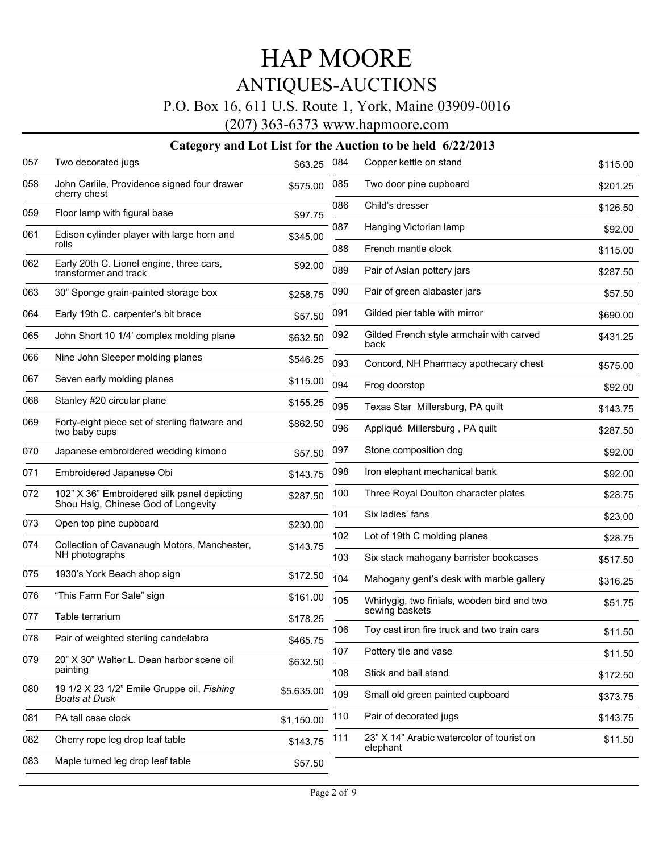## P.O. Box 16, 611 U.S. Route 1, York, Maine 03909-0016

(207) 363-6373 www.hapmoore.com

| 057 | Two decorated jugs                                                                 | \$63.25    | 084        | Copper kettle on stand                                | \$115.00            |
|-----|------------------------------------------------------------------------------------|------------|------------|-------------------------------------------------------|---------------------|
| 058 | John Carlile, Providence signed four drawer<br>cherry chest                        | \$575.00   | 085        | Two door pine cupboard                                | \$201.25            |
| 059 | Floor lamp with figural base                                                       | \$97.75    | 086        | Child's dresser                                       | \$126.50            |
| 061 | Edison cylinder player with large horn and                                         | \$345.00   | 087        | Hanging Victorian lamp                                | \$92.00             |
|     | rolls                                                                              |            | 088        | French mantle clock                                   | \$115.00            |
| 062 | Early 20th C. Lionel engine, three cars,<br>transformer and track                  | \$92.00    | 089        | Pair of Asian pottery jars                            | \$287.50            |
| 063 | 30" Sponge grain-painted storage box                                               | \$258.75   | 090        | Pair of green alabaster jars                          | \$57.50             |
| 064 | Early 19th C. carpenter's bit brace                                                | \$57.50    | 091        | Gilded pier table with mirror                         | \$690.00            |
| 065 | John Short 10 1/4' complex molding plane                                           | \$632.50   | 092        | Gilded French style armchair with carved<br>back      | \$431.25            |
| 066 | Nine John Sleeper molding planes                                                   | \$546.25   | 093        | Concord, NH Pharmacy apothecary chest                 | \$575.00            |
| 067 | Seven early molding planes                                                         | \$115.00   | 094        | Frog doorstop                                         | \$92.00             |
| 068 | Stanley #20 circular plane                                                         | \$155.25   | 095        | Texas Star Millersburg, PA quilt                      | \$143.75            |
| 069 | Forty-eight piece set of sterling flatware and<br>two baby cups                    | \$862.50   | 096        | Appliqué Millersburg, PA quilt                        | \$287.50            |
| 070 | Japanese embroidered wedding kimono                                                | \$57.50    | 097        | Stone composition dog                                 | \$92.00             |
| 071 | Embroidered Japanese Obi                                                           | \$143.75   | 098        | Iron elephant mechanical bank                         | \$92.00             |
| 072 | 102" X 36" Embroidered silk panel depicting<br>Shou Hsig, Chinese God of Longevity | \$287.50   | 100        | Three Royal Doulton character plates                  | \$28.75             |
| 073 | Open top pine cupboard                                                             | \$230.00   | 101        | Six ladies' fans                                      | \$23.00             |
| 074 | Collection of Cavanaugh Motors, Manchester,                                        | \$143.75   | 102        | Lot of 19th C molding planes                          | \$28.75             |
|     | NH photographs                                                                     |            | 103        | Six stack mahogany barrister bookcases                | \$517.50            |
| 075 | 1930's York Beach shop sign                                                        | \$172.50   | 104        | Mahogany gent's desk with marble gallery              | \$316.25            |
| 076 | "This Farm For Sale" sign                                                          | \$161.00   | 105        | Whirlygig, two finials, wooden bird and two           | \$51.75             |
| 077 | Table terrarium                                                                    | \$178.25   |            | sewing baskets                                        |                     |
| 078 | Pair of weighted sterling candelabra                                               | \$465.75   | 106        | Toy cast iron fire truck and two train cars           | \$11.50             |
| 079 | 20" X 30" Walter L. Dean harbor scene oil<br>painting                              | \$632.50   | 107<br>108 | Pottery tile and vase<br>Stick and ball stand         | \$11.50<br>\$172.50 |
| 080 | 19 1/2 X 23 1/2" Emile Gruppe oil, Fishing                                         | \$5,635.00 | 109        | Small old green painted cupboard                      |                     |
|     | <b>Boats at Dusk</b>                                                               |            |            |                                                       | \$373.75            |
| 081 | PA tall case clock                                                                 | \$1,150.00 | 110        | Pair of decorated jugs                                | \$143.75            |
| 082 | Cherry rope leg drop leaf table                                                    | \$143.75   | 111        | 23" X 14" Arabic watercolor of tourist on<br>elephant | \$11.50             |
| 083 | Maple turned leg drop leaf table                                                   | \$57.50    |            |                                                       |                     |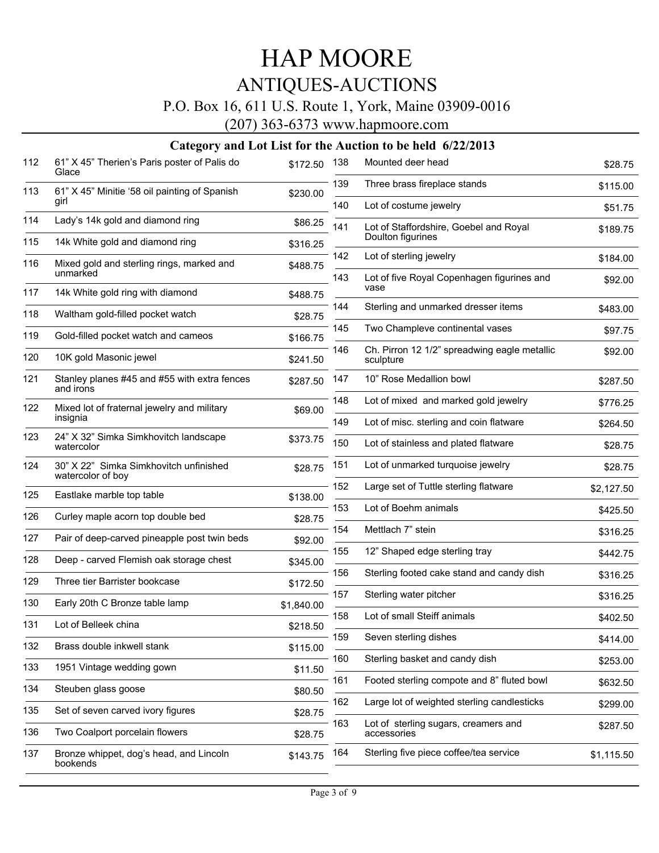### P.O. Box 16, 611 U.S. Route 1, York, Maine 03909-0016

(207) 363-6373 www.hapmoore.com

| 112 | 61" X 45" Therien's Paris poster of Palis do<br>Glace       | \$172.50   | 138 | Mounted deer head                                           | \$28.75    |
|-----|-------------------------------------------------------------|------------|-----|-------------------------------------------------------------|------------|
| 113 | 61" X 45" Minitie '58 oil painting of Spanish               | \$230.00   | 139 | Three brass fireplace stands                                | \$115.00   |
|     | girl                                                        |            | 140 | Lot of costume jewelry                                      | \$51.75    |
| 114 | Lady's 14k gold and diamond ring                            | \$86.25    | 141 | Lot of Staffordshire, Goebel and Royal<br>Doulton figurines | \$189.75   |
| 115 | 14k White gold and diamond ring                             | \$316.25   | 142 |                                                             |            |
| 116 | Mixed gold and sterling rings, marked and<br>unmarked       | \$488.75   |     | Lot of sterling jewelry                                     | \$184.00   |
| 117 | 14k White gold ring with diamond                            | \$488.75   | 143 | Lot of five Royal Copenhagen figurines and<br>vase          | \$92.00    |
| 118 | Waltham gold-filled pocket watch                            | \$28.75    | 144 | Sterling and unmarked dresser items                         | \$483.00   |
| 119 | Gold-filled pocket watch and cameos                         |            | 145 | Two Champleve continental vases                             | \$97.75    |
|     |                                                             | \$166.75   | 146 | Ch. Pirron 12 1/2" spreadwing eagle metallic                | \$92.00    |
| 120 | 10K gold Masonic jewel                                      | \$241.50   |     | sculpture                                                   |            |
| 121 | Stanley planes #45 and #55 with extra fences<br>and irons   | \$287.50   | 147 | 10" Rose Medallion bowl                                     | \$287.50   |
| 122 | Mixed lot of fraternal jewelry and military                 | \$69.00    | 148 | Lot of mixed and marked gold jewelry                        | \$776.25   |
|     | insignia                                                    |            | 149 | Lot of misc. sterling and coin flatware                     | \$264.50   |
| 123 | 24" X 32" Simka Simkhovitch landscape<br>watercolor         | \$373.75   | 150 | Lot of stainless and plated flatware                        | \$28.75    |
| 124 | 30" X 22" Simka Simkhovitch unfinished<br>watercolor of boy | \$28.75    | 151 | Lot of unmarked turquoise jewelry                           | \$28.75    |
| 125 | Eastlake marble top table                                   | \$138.00   | 152 | Large set of Tuttle sterling flatware                       | \$2,127.50 |
|     |                                                             |            | 153 | Lot of Boehm animals                                        | \$425.50   |
| 126 | Curley maple acorn top double bed                           | \$28.75    | 154 | Mettlach 7" stein                                           | \$316.25   |
| 127 | Pair of deep-carved pineapple post twin beds                | \$92.00    | 155 | 12" Shaped edge sterling tray                               | \$442.75   |
| 128 | Deep - carved Flemish oak storage chest                     | \$345.00   | 156 | Sterling footed cake stand and candy dish                   |            |
| 129 | Three tier Barrister bookcase                               | \$172.50   |     |                                                             | \$316.25   |
| 130 | Early 20th C Bronze table lamp                              | \$1,840.00 | 157 | Sterling water pitcher                                      | \$316.25   |
| 131 | Lot of Belleek china                                        | \$218.50   | 158 | Lot of small Steiff animals                                 | \$402.50   |
| 132 | Brass double inkwell stank                                  | \$115.00   | 159 | Seven sterling dishes                                       | \$414.00   |
| 133 | 1951 Vintage wedding gown                                   | \$11.50    | 160 | Sterling basket and candy dish                              | \$253.00   |
| 134 | Steuben glass goose                                         | \$80.50    | 161 | Footed sterling compote and 8" fluted bowl                  | \$632.50   |
| 135 | Set of seven carved ivory figures                           |            | 162 | Large lot of weighted sterling candlesticks                 | \$299.00   |
|     |                                                             | \$28.75    | 163 | Lot of sterling sugars, creamers and                        | \$287.50   |
| 136 | Two Coalport porcelain flowers                              | \$28.75    |     | accessories                                                 |            |
| 137 | Bronze whippet, dog's head, and Lincoln<br>bookends         | \$143.75   | 164 | Sterling five piece coffee/tea service                      | \$1,115.50 |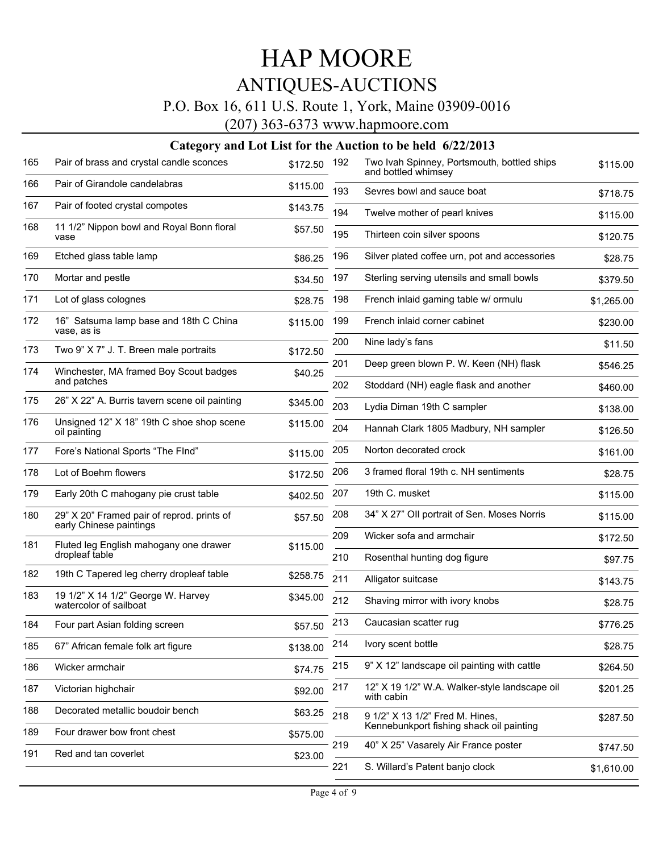### P.O. Box 16, 611 U.S. Route 1, York, Maine 03909-0016

(207) 363-6373 www.hapmoore.com

| 165 | Pair of brass and crystal candle sconces                              | \$172.50 | 192 | Two Ivah Spinney, Portsmouth, bottled ships<br>and bottled whimsey | \$115.00   |
|-----|-----------------------------------------------------------------------|----------|-----|--------------------------------------------------------------------|------------|
| 166 | Pair of Girandole candelabras                                         | \$115.00 | 193 | Sevres bowl and sauce boat                                         | \$718.75   |
| 167 | Pair of footed crystal compotes                                       | \$143.75 | 194 | Twelve mother of pearl knives                                      | \$115.00   |
| 168 | 11 1/2" Nippon bowl and Royal Bonn floral<br>vase                     | \$57.50  | 195 | Thirteen coin silver spoons                                        | \$120.75   |
| 169 | Etched glass table lamp                                               | \$86.25  | 196 | Silver plated coffee urn, pot and accessories                      | \$28.75    |
| 170 | Mortar and pestle                                                     | \$34.50  | 197 | Sterling serving utensils and small bowls                          | \$379.50   |
| 171 | Lot of glass colognes                                                 | \$28.75  | 198 | French inlaid gaming table w/ ormulu                               | \$1,265.00 |
| 172 | 16" Satsuma lamp base and 18th C China<br>vase, as is                 | \$115.00 | 199 | French inlaid corner cabinet                                       | \$230.00   |
| 173 | Two 9" X 7" J. T. Breen male portraits                                | \$172.50 | 200 | Nine lady's fans                                                   | \$11.50    |
| 174 | Winchester, MA framed Boy Scout badges                                | \$40.25  | 201 | Deep green blown P. W. Keen (NH) flask                             | \$546.25   |
|     | and patches                                                           |          | 202 | Stoddard (NH) eagle flask and another                              | \$460.00   |
| 175 | 26" X 22" A. Burris tavern scene oil painting                         | \$345.00 | 203 | Lydia Diman 19th C sampler                                         | \$138.00   |
| 176 | Unsigned 12" X 18" 19th C shoe shop scene<br>oil painting             | \$115.00 | 204 | Hannah Clark 1805 Madbury, NH sampler                              | \$126.50   |
| 177 | Fore's National Sports "The FInd"                                     | \$115.00 | 205 | Norton decorated crock                                             | \$161.00   |
| 178 | Lot of Boehm flowers                                                  | \$172.50 | 206 | 3 framed floral 19th c. NH sentiments                              | \$28.75    |
| 179 | Early 20th C mahogany pie crust table                                 | \$402.50 | 207 | 19th C. musket                                                     | \$115.00   |
| 180 | 29" X 20" Framed pair of reprod. prints of<br>early Chinese paintings | \$57.50  | 208 | 34" X 27" Oll portrait of Sen. Moses Norris                        | \$115.00   |
| 181 | Fluted leg English mahogany one drawer                                | \$115.00 | 209 | Wicker sofa and armchair                                           | \$172.50   |
|     | dropleaf table                                                        |          | 210 | Rosenthal hunting dog figure                                       | \$97.75    |
| 182 | 19th C Tapered leg cherry dropleaf table                              | \$258.75 | 211 | Alligator suitcase                                                 | \$143.75   |
| 183 | 19 1/2" X 14 1/2" George W. Harvey<br>watercolor of sailboat          | \$345.00 | 212 | Shaving mirror with ivory knobs                                    | \$28.75    |
| 184 | Four part Asian folding screen                                        | \$57.50  | 213 | Caucasian scatter rug                                              | \$776.25   |
| 185 | 67" African female folk art figure                                    | \$138.00 | 214 | Ivory scent bottle                                                 | \$28.75    |
| 186 | Wicker armchair                                                       | \$74.75  | 215 | 9" X 12" landscape oil painting with cattle                        | \$264.50   |
| 187 | Victorian highchair                                                   | \$92.00  | 217 | 12" X 19 1/2" W.A. Walker-style landscape oil<br>with cabin        | \$201.25   |
| 188 | Decorated metallic boudoir bench                                      | \$63.25  | 218 | 9 1/2" X 13 1/2" Fred M. Hines,                                    | \$287.50   |
| 189 | Four drawer bow front chest                                           | \$575.00 |     | Kennebunkport fishing shack oil painting                           |            |
| 191 | Red and tan coverlet                                                  | \$23.00  | 219 | 40" X 25" Vasarely Air France poster                               | \$747.50   |
|     |                                                                       |          | 221 | S. Willard's Patent banjo clock                                    | \$1,610.00 |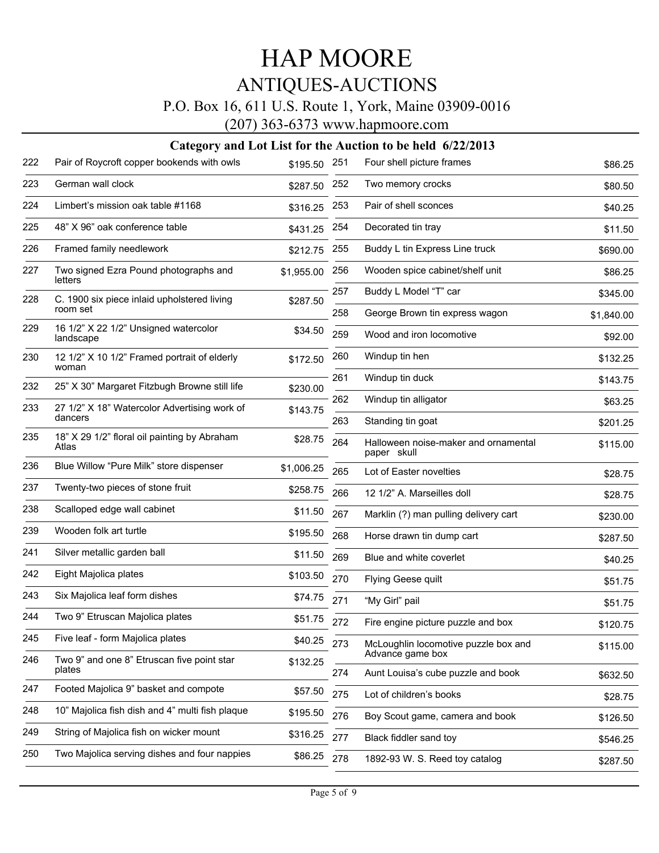### P.O. Box 16, 611 U.S. Route 1, York, Maine 03909-0016

(207) 363-6373 www.hapmoore.com

| 222 | Pair of Roycroft copper bookends with owls              | \$195.50 251 |     | Four shell picture frames                              | \$86.25    |
|-----|---------------------------------------------------------|--------------|-----|--------------------------------------------------------|------------|
| 223 | German wall clock                                       | \$287.50 252 |     | Two memory crocks                                      | \$80.50    |
| 224 | Limbert's mission oak table #1168                       | \$316.25     | 253 | Pair of shell sconces                                  | \$40.25    |
| 225 | 48" X 96" oak conference table                          | \$431.25     | 254 | Decorated tin tray                                     | \$11.50    |
| 226 | Framed family needlework                                | \$212.75     | 255 | Buddy L tin Express Line truck                         | \$690.00   |
| 227 | Two signed Ezra Pound photographs and<br>letters        | \$1,955.00   | 256 | Wooden spice cabinet/shelf unit                        | \$86.25    |
| 228 | C. 1900 six piece inlaid upholstered living             | \$287.50     | 257 | Buddy L Model "T" car                                  | \$345.00   |
|     | room set                                                |              | 258 | George Brown tin express wagon                         | \$1,840.00 |
| 229 | 16 1/2" X 22 1/2" Unsigned watercolor<br>landscape      | \$34.50      | 259 | Wood and iron locomotive                               | \$92.00    |
| 230 | 12 1/2" X 10 1/2" Framed portrait of elderly<br>woman   | \$172.50     | 260 | Windup tin hen                                         | \$132.25   |
| 232 | 25" X 30" Margaret Fitzbugh Browne still life           | \$230.00     | 261 | Windup tin duck                                        | \$143.75   |
| 233 |                                                         |              | 262 | Windup tin alligator                                   | \$63.25    |
|     | 27 1/2" X 18" Watercolor Advertising work of<br>dancers | \$143.75     | 263 | Standing tin goat                                      | \$201.25   |
| 235 | 18" X 29 1/2" floral oil painting by Abraham<br>Atlas   | \$28.75      | 264 | Halloween noise-maker and ornamental<br>paper skull    | \$115.00   |
| 236 | Blue Willow "Pure Milk" store dispenser                 | \$1,006.25   | 265 | Lot of Easter novelties                                | \$28.75    |
| 237 | Twenty-two pieces of stone fruit                        | \$258.75     | 266 | 12 1/2" A. Marseilles doll                             | \$28.75    |
| 238 | Scalloped edge wall cabinet                             | \$11.50      | 267 | Marklin (?) man pulling delivery cart                  | \$230.00   |
| 239 | Wooden folk art turtle                                  | \$195.50     | 268 | Horse drawn tin dump cart                              | \$287.50   |
| 241 | Silver metallic garden ball                             | \$11.50      | 269 | Blue and white coverlet                                | \$40.25    |
| 242 | Eight Majolica plates                                   | \$103.50     | 270 | Flying Geese quilt                                     | \$51.75    |
| 243 | Six Majolica leaf form dishes                           | \$74.75      | 271 | "My Girl" pail                                         | \$51.75    |
| 244 | Two 9" Etruscan Majolica plates                         | \$51.75      | 272 | Fire engine picture puzzle and box                     | \$120.75   |
| 245 | Five leaf - form Majolica plates                        | \$40.25      | 273 | McLoughlin locomotive puzzle box and                   | \$115.00   |
| 246 | Two 9" and one 8" Etruscan five point star<br>plates    | \$132.25     | 274 | Advance game box<br>Aunt Louisa's cube puzzle and book |            |
| 247 | Footed Majolica 9" basket and compote                   | \$57.50      |     |                                                        | \$632.50   |
|     |                                                         |              | 275 | Lot of children's books                                | \$28.75    |
| 248 | 10" Majolica fish dish and 4" multi fish plaque         | \$195.50     | 276 | Boy Scout game, camera and book                        | \$126.50   |
| 249 | String of Majolica fish on wicker mount                 | \$316.25     | 277 | Black fiddler sand toy                                 | \$546.25   |
| 250 | Two Majolica serving dishes and four nappies            | \$86.25      | 278 | 1892-93 W. S. Reed toy catalog                         | \$287.50   |
|     |                                                         |              |     |                                                        |            |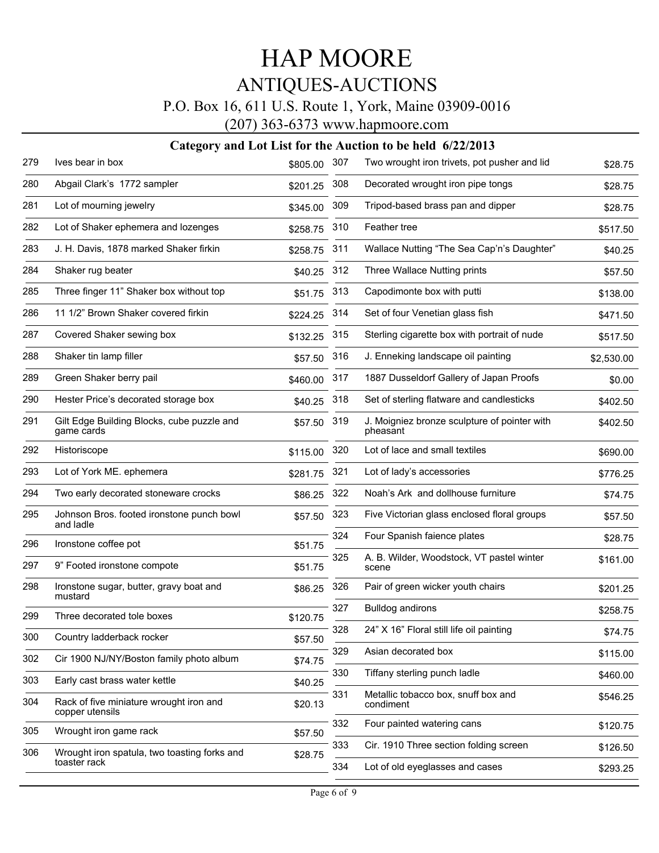### P.O. Box 16, 611 U.S. Route 1, York, Maine 03909-0016

(207) 363-6373 www.hapmoore.com

| 279 | Ives bear in box                                           | \$805.00 | 307 | Two wrought iron trivets, pot pusher and lid             | \$28.75    |
|-----|------------------------------------------------------------|----------|-----|----------------------------------------------------------|------------|
| 280 | Abgail Clark's 1772 sampler                                | \$201.25 | 308 | Decorated wrought iron pipe tongs                        | \$28.75    |
| 281 | Lot of mourning jewelry                                    | \$345.00 | 309 | Tripod-based brass pan and dipper                        | \$28.75    |
| 282 | Lot of Shaker ephemera and lozenges                        | \$258.75 | 310 | Feather tree                                             | \$517.50   |
| 283 | J. H. Davis, 1878 marked Shaker firkin                     | \$258.75 | 311 | Wallace Nutting "The Sea Cap'n's Daughter"               | \$40.25    |
| 284 | Shaker rug beater                                          | \$40.25  | 312 | Three Wallace Nutting prints                             | \$57.50    |
| 285 | Three finger 11" Shaker box without top                    | \$51.75  | 313 | Capodimonte box with putti                               | \$138.00   |
| 286 | 11 1/2" Brown Shaker covered firkin                        | \$224.25 | 314 | Set of four Venetian glass fish                          | \$471.50   |
| 287 | Covered Shaker sewing box                                  | \$132.25 | 315 | Sterling cigarette box with portrait of nude             | \$517.50   |
| 288 | Shaker tin lamp filler                                     | \$57.50  | 316 | J. Enneking landscape oil painting                       | \$2,530.00 |
| 289 | Green Shaker berry pail                                    | \$460.00 | 317 | 1887 Dusseldorf Gallery of Japan Proofs                  | \$0.00     |
| 290 | Hester Price's decorated storage box                       | \$40.25  | 318 | Set of sterling flatware and candlesticks                | \$402.50   |
| 291 | Gilt Edge Building Blocks, cube puzzle and<br>game cards   | \$57.50  | 319 | J. Moigniez bronze sculpture of pointer with<br>pheasant | \$402.50   |
| 292 | Historiscope                                               | \$115.00 | 320 | Lot of lace and small textiles                           | \$690.00   |
| 293 | Lot of York ME. ephemera                                   | \$281.75 | 321 | Lot of lady's accessories                                | \$776.25   |
| 294 | Two early decorated stoneware crocks                       | \$86.25  | 322 | Noah's Ark and dollhouse furniture                       | \$74.75    |
| 295 | Johnson Bros. footed ironstone punch bowl<br>and ladle     | \$57.50  | 323 | Five Victorian glass enclosed floral groups              | \$57.50    |
| 296 | Ironstone coffee pot                                       | \$51.75  | 324 | Four Spanish faience plates                              | \$28.75    |
| 297 | 9" Footed ironstone compote                                | \$51.75  | 325 | A. B. Wilder, Woodstock, VT pastel winter<br>scene       | \$161.00   |
| 298 | Ironstone sugar, butter, gravy boat and<br>mustard         | \$86.25  | 326 | Pair of green wicker youth chairs                        | \$201.25   |
| 299 | Three decorated tole boxes                                 | \$120.75 | 327 | <b>Bulldog andirons</b>                                  | \$258.75   |
| 300 | Country ladderback rocker                                  | \$57.50  | 328 | 24" X 16" Floral still life oil painting                 | \$74.75    |
| 302 | Cir 1900 NJ/NY/Boston family photo album                   | \$74.75  | 329 | Asian decorated box                                      | \$115.00   |
| 303 | Early cast brass water kettle                              | \$40.25  | 330 | Tiffany sterling punch ladle                             | \$460.00   |
| 304 | Rack of five miniature wrought iron and<br>copper utensils | \$20.13  | 331 | Metallic tobacco box, snuff box and<br>condiment         | \$546.25   |
| 305 | Wrought iron game rack                                     | \$57.50  | 332 | Four painted watering cans                               | \$120.75   |
| 306 | Wrought iron spatula, two toasting forks and               | \$28.75  | 333 | Cir. 1910 Three section folding screen                   | \$126.50   |
|     | toaster rack                                               |          | 334 | Lot of old eyeglasses and cases                          | \$293.25   |
|     |                                                            |          |     |                                                          |            |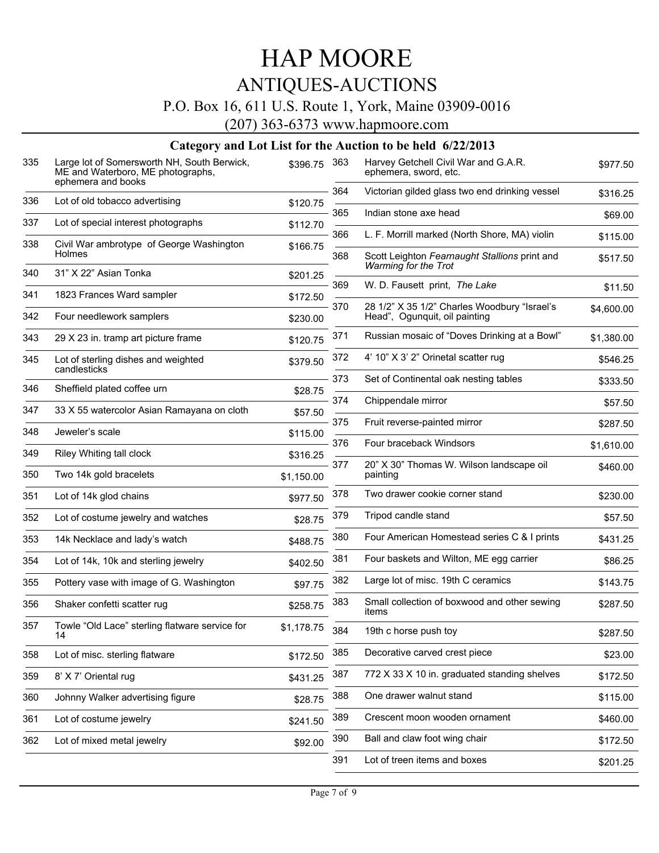## P.O. Box 16, 611 U.S. Route 1, York, Maine 03909-0016

(207) 363-6373 www.hapmoore.com

| 335 | Large lot of Somersworth NH, South Berwick,<br>ME and Waterboro, ME photographs,<br>ephemera and books | \$396.75   | 363 | Harvey Getchell Civil War and G.A.R.<br>ephemera, sword, etc.                 | \$977.50   |
|-----|--------------------------------------------------------------------------------------------------------|------------|-----|-------------------------------------------------------------------------------|------------|
| 336 | Lot of old tobacco advertising                                                                         | \$120.75   | 364 | Victorian gilded glass two end drinking vessel                                | \$316.25   |
|     |                                                                                                        |            | 365 | Indian stone axe head                                                         | \$69.00    |
| 337 | Lot of special interest photographs                                                                    | \$112.70   | 366 | L. F. Morrill marked (North Shore, MA) violin                                 | \$115.00   |
| 338 | Civil War ambrotype of George Washington<br>Holmes                                                     | \$166.75   | 368 | Scott Leighton Fearnaught Stallions print and<br>Warming for the Trot         | \$517.50   |
| 340 | 31" X 22" Asian Tonka                                                                                  | \$201.25   |     |                                                                               | \$11.50    |
| 341 | 1823 Frances Ward sampler                                                                              | \$172.50   |     | 369<br>W. D. Fausett print, The Lake                                          |            |
| 342 | Four needlework samplers                                                                               | \$230.00   | 370 | 28 1/2" X 35 1/2" Charles Woodbury "Israel's<br>Head", Ogunquit, oil painting | \$4,600.00 |
| 343 | 29 X 23 in. tramp art picture frame                                                                    | \$120.75   | 371 | Russian mosaic of "Doves Drinking at a Bowl"                                  | \$1,380.00 |
| 345 | Lot of sterling dishes and weighted<br>candlesticks                                                    | \$379.50   | 372 | 4' 10" X 3' 2" Orinetal scatter rug                                           | \$546.25   |
| 346 | Sheffield plated coffee urn                                                                            |            | 373 | Set of Continental oak nesting tables                                         | \$333.50   |
|     |                                                                                                        | \$28.75    | 374 | Chippendale mirror                                                            | \$57.50    |
| 347 | 33 X 55 watercolor Asian Ramayana on cloth                                                             | \$57.50    | 375 | Fruit reverse-painted mirror                                                  | \$287.50   |
| 348 | Jeweler's scale                                                                                        | \$115.00   | 376 | Four braceback Windsors                                                       | \$1,610.00 |
| 349 | Riley Whiting tall clock                                                                               | \$316.25   | 377 |                                                                               |            |
| 350 | Two 14k gold bracelets                                                                                 | \$1,150.00 |     | 20" X 30" Thomas W. Wilson landscape oil<br>painting                          | \$460.00   |
| 351 | Lot of 14k glod chains                                                                                 | \$977.50   | 378 | Two drawer cookie corner stand                                                | \$230.00   |
| 352 | Lot of costume jewelry and watches                                                                     | \$28.75    | 379 | Tripod candle stand                                                           | \$57.50    |
| 353 | 14k Necklace and lady's watch                                                                          | \$488.75   | 380 | Four American Homestead series C & I prints                                   | \$431.25   |
| 354 | Lot of 14k, 10k and sterling jewelry                                                                   | \$402.50   | 381 | Four baskets and Wilton, ME egg carrier                                       | \$86.25    |
| 355 | Pottery vase with image of G. Washington                                                               | \$97.75    | 382 | Large lot of misc. 19th C ceramics                                            | \$143.75   |
| 356 | Shaker confetti scatter rug                                                                            | \$258.75   | 383 | Small collection of boxwood and other sewing<br>items                         | \$287.50   |
| 357 | Towle "Old Lace" sterling flatware service for<br>14                                                   | \$1,178.75 | 384 | 19th c horse push toy                                                         | \$287.50   |
| 358 | Lot of misc. sterling flatware                                                                         | \$172.50   | 385 | Decorative carved crest piece                                                 | \$23.00    |
| 359 | 8' X 7' Oriental rug                                                                                   | \$431.25   | 387 | 772 X 33 X 10 in. graduated standing shelves                                  | \$172.50   |
| 360 | Johnny Walker advertising figure                                                                       | \$28.75    | 388 | One drawer walnut stand                                                       | \$115.00   |
| 361 | Lot of costume jewelry                                                                                 | \$241.50   | 389 | Crescent moon wooden ornament                                                 | \$460.00   |
| 362 | Lot of mixed metal jewelry                                                                             | \$92.00    | 390 | Ball and claw foot wing chair                                                 | \$172.50   |
|     |                                                                                                        |            | 391 | Lot of treen items and boxes                                                  | \$201.25   |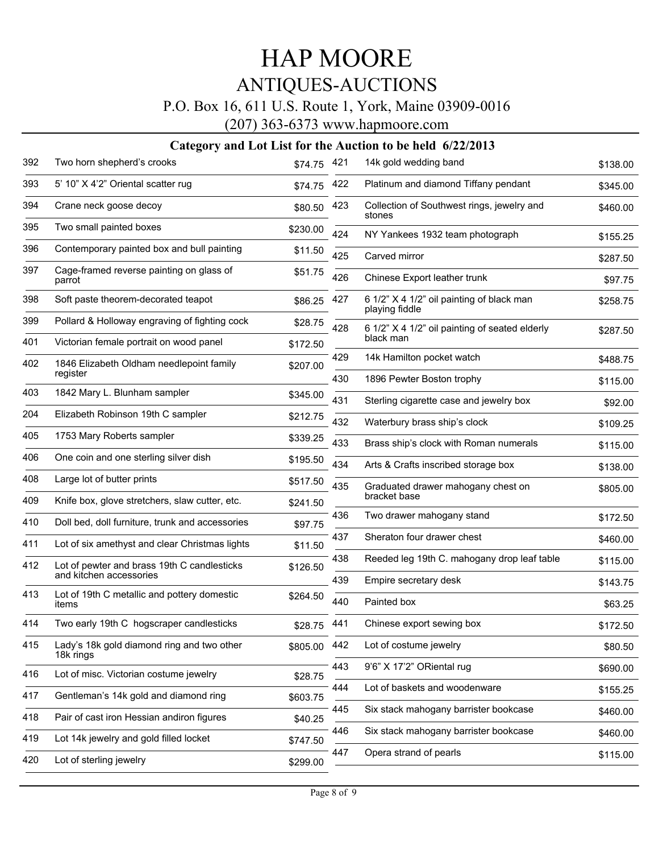### P.O. Box 16, 611 U.S. Route 1, York, Maine 03909-0016

(207) 363-6373 www.hapmoore.com

| 392 | Two horn shepherd's crooks                              | \$74.75  | 421 | 14k gold wedding band                                       | \$138.00 |
|-----|---------------------------------------------------------|----------|-----|-------------------------------------------------------------|----------|
| 393 | 5' 10" X 4'2" Oriental scatter rug                      | \$74.75  | 422 | Platinum and diamond Tiffany pendant                        | \$345.00 |
| 394 | Crane neck goose decoy                                  | \$80.50  | 423 | Collection of Southwest rings, jewelry and<br>stones        | \$460.00 |
| 395 | Two small painted boxes                                 | \$230.00 | 424 | NY Yankees 1932 team photograph                             | \$155.25 |
| 396 | Contemporary painted box and bull painting              | \$11.50  | 425 | Carved mirror                                               | \$287.50 |
| 397 | Cage-framed reverse painting on glass of<br>parrot      | \$51.75  | 426 | Chinese Export leather trunk                                | \$97.75  |
| 398 | Soft paste theorem-decorated teapot                     | \$86.25  | 427 | 6 1/2" X 4 1/2" oil painting of black man<br>playing fiddle | \$258.75 |
| 399 | Pollard & Holloway engraving of fighting cock           | \$28.75  | 428 | 6 1/2" X 4 1/2" oil painting of seated elderly              | \$287.50 |
| 401 | Victorian female portrait on wood panel                 | \$172.50 |     | black man                                                   |          |
| 402 | 1846 Elizabeth Oldham needlepoint family<br>register    | \$207.00 | 429 | 14k Hamilton pocket watch                                   | \$488.75 |
|     |                                                         |          | 430 | 1896 Pewter Boston trophy                                   | \$115.00 |
| 403 | 1842 Mary L. Blunham sampler                            | \$345.00 | 431 | Sterling cigarette case and jewelry box                     | \$92.00  |
| 204 | Elizabeth Robinson 19th C sampler                       | \$212.75 | 432 | Waterbury brass ship's clock                                | \$109.25 |
| 405 | 1753 Mary Roberts sampler                               | \$339.25 | 433 | Brass ship's clock with Roman numerals                      | \$115.00 |
| 406 | One coin and one sterling silver dish                   | \$195.50 | 434 | Arts & Crafts inscribed storage box                         | \$138.00 |
| 408 | Large lot of butter prints                              | \$517.50 | 435 | Graduated drawer mahogany chest on                          | \$805.00 |
| 409 | Knife box, glove stretchers, slaw cutter, etc.          | \$241.50 |     | bracket base                                                |          |
| 410 | Doll bed, doll furniture, trunk and accessories         | \$97.75  | 436 | Two drawer mahogany stand                                   | \$172.50 |
| 411 | Lot of six amethyst and clear Christmas lights          | \$11.50  | 437 | Sheraton four drawer chest                                  | \$460.00 |
| 412 | Lot of pewter and brass 19th C candlesticks             | \$126.50 | 438 | Reeded leg 19th C. mahogany drop leaf table                 | \$115.00 |
|     | and kitchen accessories                                 |          | 439 | Empire secretary desk                                       | \$143.75 |
| 413 | Lot of 19th C metallic and pottery domestic<br>items    | \$264.50 | 440 | Painted box                                                 | \$63.25  |
| 414 | Two early 19th C hogscraper candlesticks                | \$28.75  | 441 | Chinese export sewing box                                   | \$172.50 |
| 415 | Lady's 18k gold diamond ring and two other<br>18k rings | \$805.00 | 442 | Lot of costume jewelry                                      | \$80.50  |
| 416 | Lot of misc. Victorian costume jewelry                  | \$28.75  | 443 | 9'6" X 17'2" ORiental rug                                   | \$690.00 |
| 417 | Gentleman's 14k gold and diamond ring                   | \$603.75 | 444 | Lot of baskets and woodenware                               | \$155.25 |
| 418 | Pair of cast iron Hessian andiron figures               | \$40.25  | 445 | Six stack mahogany barrister bookcase                       | \$460.00 |
| 419 | Lot 14k jewelry and gold filled locket                  | \$747.50 | 446 | Six stack mahogany barrister bookcase                       | \$460.00 |
| 420 | Lot of sterling jewelry                                 | \$299.00 | 447 | Opera strand of pearls                                      | \$115.00 |
|     |                                                         |          |     |                                                             |          |